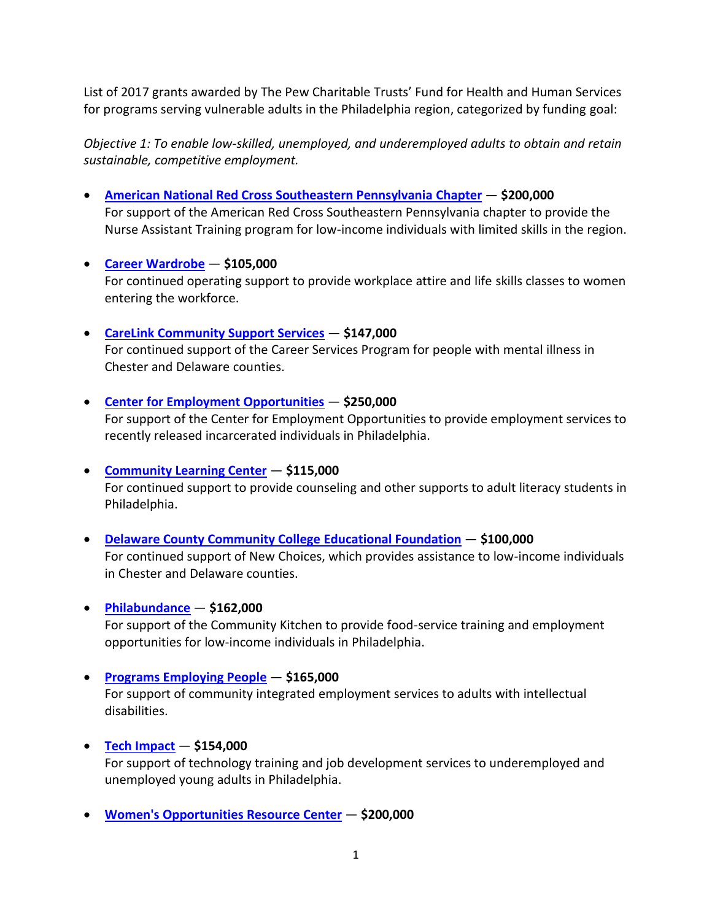List of 2017 grants awarded by The Pew Charitable Trusts' Fund for Health and Human Services for programs serving vulnerable adults in the Philadelphia region, categorized by funding goal:

*Objective 1: To enable low-skilled, unemployed, and underemployed adults to obtain and retain sustainable, competitive employment.*

- **[American National Red Cross Southeastern Pennsylvania](http://www.redcross.org/local/pennsylvania/eastern-pennsylvania/find-your-local-chapter/southeastern-pa) Chapter \$200,000** For support of the American Red Cross Southeastern Pennsylvania chapter to provide the Nurse Assistant Training program for low-income individuals with limited skills in the region.
- **[Career Wardrobe](http://careerwardrobe.org/) \$105,000** For continued operating support to provide workplace attire and life skills classes to women entering the workforce.
- **[CareLink Community Support Services](http://www.carelinkservices.org/) \$147,000** For continued support of the Career Services Program for people with mental illness in Chester and Delaware counties.
- **[Center for Employment Opportunities](https://ceoworks.org/) \$250,000** For support of the Center for Employment Opportunities to provide employment services to recently released incarcerated individuals in Philadelphia.
- **[Community Learning Center](http://www.communitylearningcenter.org/) \$115,000** For continued support to provide counseling and other supports to adult literacy students in Philadelphia.
- **[Delaware County Community College](https://www.dccc.edu/about/educational-foundation/about) Educational Foundation \$100,000** For continued support of New Choices, which provides assistance to low-income individuals in Chester and Delaware counties.
- **[Philabundance](https://www.philabundance.org/) \$162,000**

For support of the Community Kitchen to provide food-service training and employment opportunities for low-income individuals in Philadelphia.

**[Programs Employing People](http://pepservices.org/)** — **\$165,000**

For support of community integrated employment services to adults with intellectual disabilities.

**[Tech Impact](http://techimpact.org/)** — **\$154,000**

For support of technology training and job development services to underemployed and unemployed young adults in Philadelphia.

**[Women's Opportunities Resource Center](http://www.worc-pa.com/)** — **\$200,000**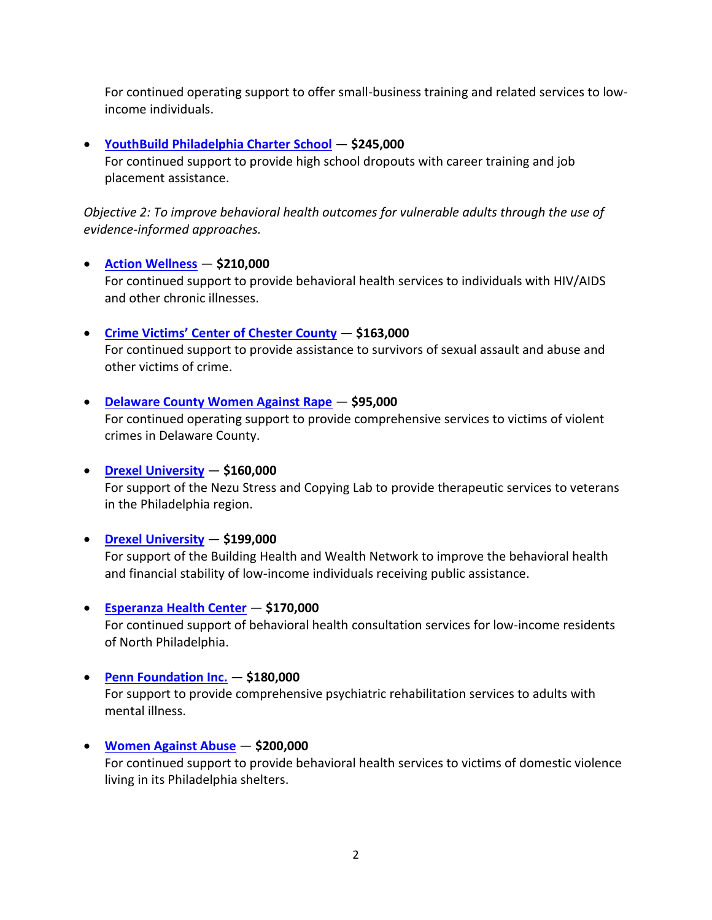For continued operating support to offer small-business training and related services to lowincome individuals.

## **[YouthBuild Philadelphia Charter School](https://youthbuildphilly.org/)** — **\$245,000**

For continued support to provide high school dropouts with career training and job placement assistance.

*Objective 2: To improve behavioral health outcomes for vulnerable adults through the use of evidence-informed approaches.*

### **[Action Wellness](https://www.actionwellness.org/)** — **\$210,000**

For continued support to provide behavioral health services to individuals with HIV/AIDS and other chronic illnesses.

### **Crime Victims' [Center of Chester County](http://www.cvcofcc.org/)** — **\$163,000**

For continued support to provide assistance to survivors of sexual assault and abuse and other victims of crime.

### **[Delaware County Women Against Rape](http://www.delcowar.org/)** — **\$95,000**

For continued operating support to provide comprehensive services to victims of violent crimes in Delaware County.

## **[Drexel University](http://nezustressandcopinglab.weebly.com/about.html)** — **\$160,000**

For support of the Nezu Stress and Copying Lab to provide therapeutic services to veterans in the Philadelphia region.

### **[Drexel University](http://www.centerforhungerfreecommunities.org/our-projects/microfinancetanf-demonstration-project)** — **\$199,000**

For support of the Building Health and Wealth Network to improve the behavioral health and financial stability of low-income individuals receiving public assistance.

### **[Esperanza Health Center](http://www.esperanzahealthcenter.org/)** — **\$170,000**

For continued support of behavioral health consultation services for low-income residents of North Philadelphia.

### **[Penn Foundation](https://www.pennfoundation.org/) Inc.** — **\$180,000**

For support to provide comprehensive psychiatric rehabilitation services to adults with mental illness.

### **[Women Against Abuse](http://www.womenagainstabuse.org/)** — **\$200,000**

For continued support to provide behavioral health services to victims of domestic violence living in its Philadelphia shelters.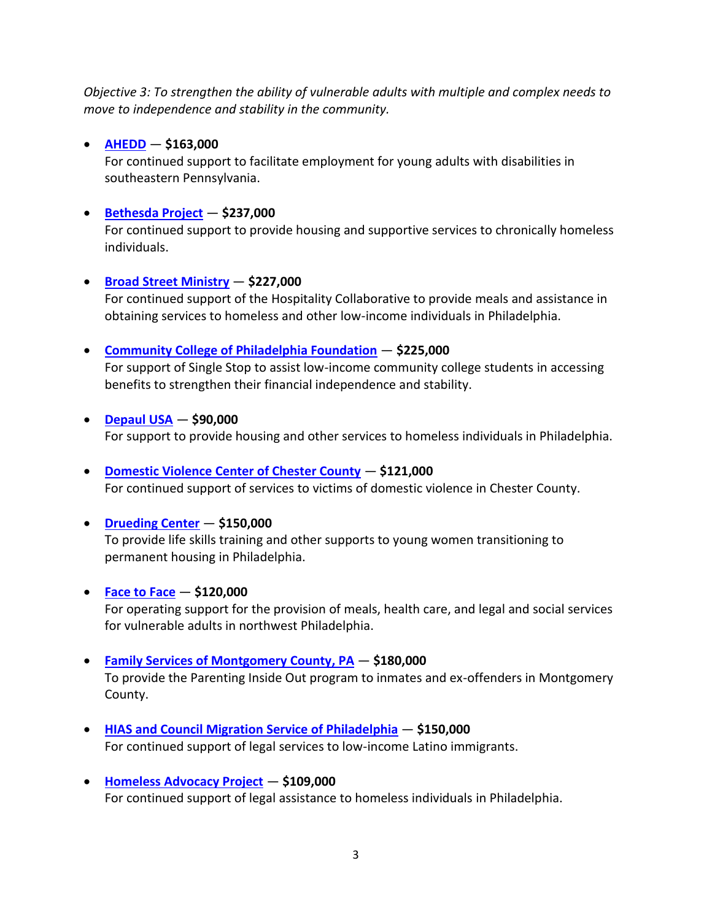*Objective 3: To strengthen the ability of vulnerable adults with multiple and complex needs to move to independence and stability in the community.*

## **[AHEDD](http://www.ahedd.org/)** — **\$163,000**

For continued support to facilitate employment for young adults with disabilities in southeastern Pennsylvania.

# **[Bethesda Project](https://www.bethesdaproject.org/)** — **\$237,000**

For continued support to provide housing and supportive services to chronically homeless individuals.

## **Broad [Street Ministry](http://www.broadstreetministry.org/)** — **\$227,000**

For continued support of the Hospitality Collaborative to provide meals and assistance in obtaining services to homeless and other low-income individuals in Philadelphia.

## **[Community College of Philadelphia Foundation](http://www.ccp.edu/student-support/single-stop)** — **\$225,000**

For support of Single Stop to assist low-income community college students in accessing benefits to strengthen their financial independence and stability.

**[Depaul USA](https://us.depaulcharity.org/)** — **\$90,000**

For support to provide housing and other services to homeless individuals in Philadelphia.

# **[Domestic Violence Center of Chester County](https://www.dvccc.com/)** — **\$121,000**

For continued support of services to victims of domestic violence in Chester County.

## **[Drueding Center](http://www.druedingcenter.org/DruedingCenter/DruedingCenter.aspx)** — **\$150,000**

To provide life skills training and other supports to young women transitioning to permanent housing in Philadelphia.

## **[Face to Face](http://facetofacegermantown.org/)** — **\$120,000**

For operating support for the provision of meals, health care, and legal and social services for vulnerable adults in northwest Philadelphia.

# **[Family Services of Montgomery County,](http://fsmontco.org/) PA** — **\$180,000**

To provide the Parenting Inside Out program to inmates and ex-offenders in Montgomery County.

- **[HIAS and Council Migration Service of Philadelphia](http://hiaspa.org/) \$150,000** For continued support of legal services to low-income Latino immigrants.
- **[Homeless Advocacy Project](http://www.homelessadvocacyproject.org/) \$109,000** For continued support of legal assistance to homeless individuals in Philadelphia.